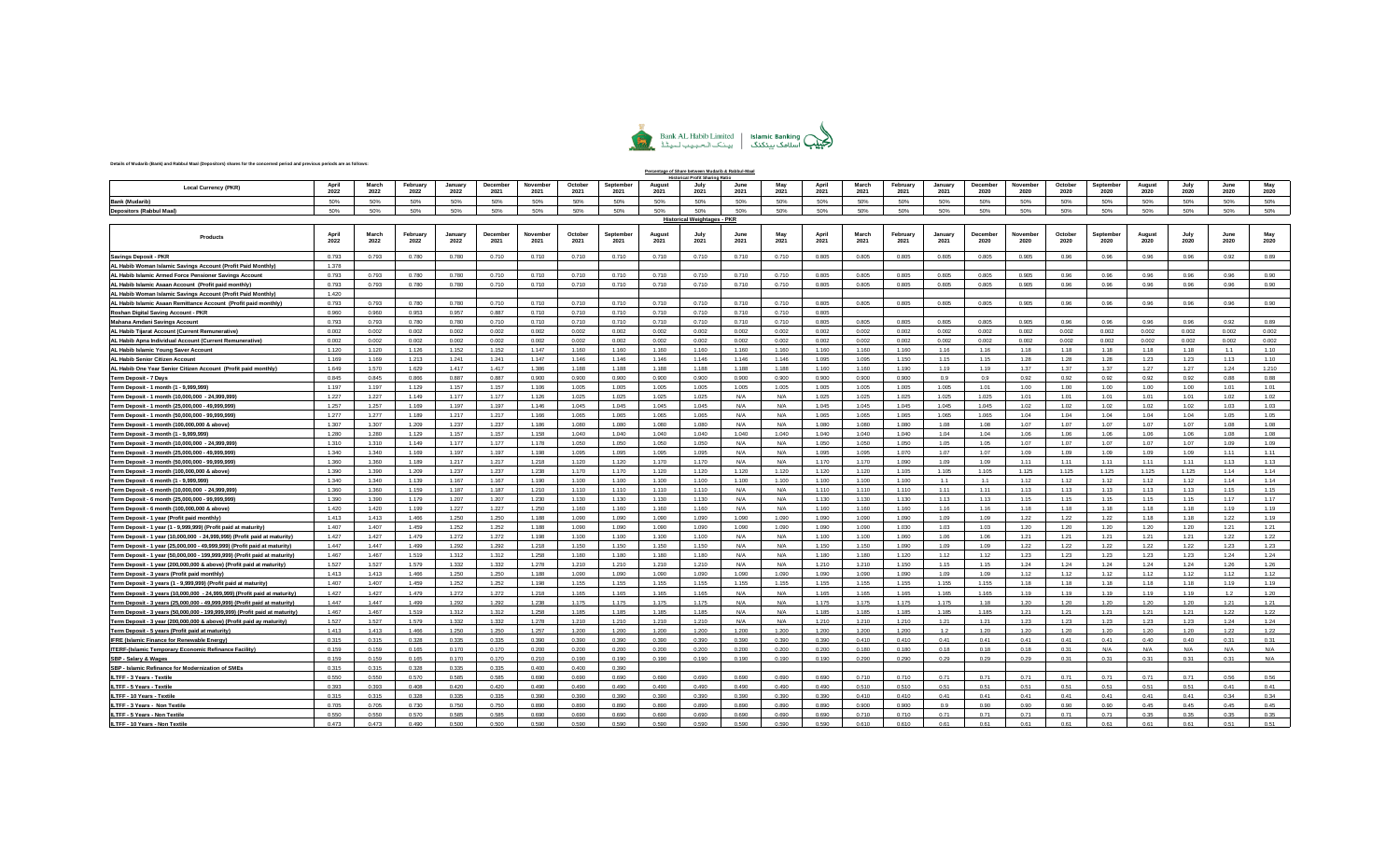

**Percentage of Share between Mudarib & Rabbul-Maal**

## **Details of Mudarib (Bank) and Rabbul Maal (Depositors) shares for the concerned period and previous periods are as follows:**

|                                                                                                      |                |                |                  |                 |                  |                  |                 |                   | <b>Profit Sharing</b> |                                    |              |              |                |                |                  |                 |                  |                  |                 |                   |                 |               |              |              |
|------------------------------------------------------------------------------------------------------|----------------|----------------|------------------|-----------------|------------------|------------------|-----------------|-------------------|-----------------------|------------------------------------|--------------|--------------|----------------|----------------|------------------|-----------------|------------------|------------------|-----------------|-------------------|-----------------|---------------|--------------|--------------|
| <b>Local Currency (PKR)</b>                                                                          | April<br>2022  | March<br>2022  | Februar<br>2022  | January<br>2022 | Decembe<br>2021  | Novembe<br>2021  | Octobe<br>2021  | Septembe<br>2021  | August<br>2021        | 2021                               | June<br>2021 | Mar<br>2021  | April<br>2021  | March<br>2021  | February<br>2021 | January<br>2021 | December<br>2020 | November<br>2020 | October<br>2020 | Septembe<br>2020  | August<br>2020  | July<br>2020  | June<br>2020 | 2020         |
| <b>Bank (Mudarib)</b>                                                                                | 50%            | 50%            | 50%              | 50%             | 50%              | 50%              | 50%             | 50%               | 50%                   | 50%                                | 50%          | 50%          | 50%            | 50%            | 50%              | 50%             | 50%              | 50%              | 50%             | 50%               | 50%             | 50%           | 50%          | 50%          |
| <b>Depositors (Rabbul Maal)</b>                                                                      | 50%            | 50%            | 50%              | 50%             | 50%              | 50%              | 50%             | 50%               | 50%                   | 50%                                | 50%          | 50%          | 50%            | 50%            | 50%              | 50%             | 50%              | 50%              | 50%             | 50%               | 50%             | 50%           | 50%          | 50%          |
|                                                                                                      |                |                |                  |                 |                  |                  |                 |                   |                       | <b>Historical Weightages - PKR</b> |              |              |                |                |                  |                 |                  |                  |                 |                   |                 |               |              |              |
|                                                                                                      |                |                |                  |                 |                  |                  |                 |                   |                       |                                    |              |              |                |                |                  |                 |                  |                  |                 |                   |                 |               |              |              |
| <b>Products</b>                                                                                      | April<br>2022  | March<br>2022  | February<br>2022 | January<br>2022 | December<br>2021 | November<br>2021 | October<br>2021 | September<br>2021 | August<br>2021        | 2021                               | June<br>2021 | May<br>2021  | April<br>2021  | March<br>2021  | February<br>2021 | January<br>2021 | December<br>2020 | November<br>2020 | October<br>2020 | September<br>2020 | August<br>2020  | July<br>2020  | June<br>2020 | May<br>2020  |
| <b>Savings Deposit - PKR</b>                                                                         | 0.793          | 0.793          | 0.780            | 0.780           | 0.710            | 0.710            | 0.710           | 0.710             | 0.710                 | 0.710                              | 0.710        | 0.710        | 0.805          | 0.805          | 0.805            | 0.805           | 0.805            | 0.905            | 0.96            | 0.96              | 0.96            | 0.96          | 0.92         | 0.89         |
| AL Habib Woman Islamic Savings Account (Profit Paid Monthly)                                         | 1.378          |                |                  |                 |                  |                  |                 |                   |                       |                                    |              |              |                |                |                  |                 |                  |                  |                 |                   |                 |               |              |              |
| AL Habib Islamic Armed Force Pensioner Savings Account                                               | 0.793          | 0.793          | 0.780            | 0.780           | 0.710            | 0.710            | 0.710           | 0.710             | 0.710                 | 0.710                              | 0.710        | 0.710        | 0.805          | 0.805          | 0.805            | 0.805           | 0.805            | 0.905            | 0.96            | 0.96              | 0.96            | 0.96          | 0.96         | 0.90         |
| AL Habib Islamic Asaan Account (Profit paid monthly)                                                 | 0.793          | 0.793          | 0.780            | 0.780           | 0.710            | 0.710            | 0.710           | 0.710             | 0.710                 | 0.710                              | 0.710        | 0.710        | 0.805          | 0.805          | 0.805            | 0.805           | 0.805            | 0.905            | 0.96            | 0.96              | 0.96            | 0.96          | 0.96         | 0.90         |
| AL Habib Woman Islamic Savings Account (Profit Paid Monthly)                                         | 1.420          |                |                  |                 |                  |                  |                 |                   |                       |                                    |              |              |                |                |                  |                 |                  |                  |                 |                   |                 |               |              |              |
| AL Habib Islamic Asaan Remittance Account (Profit paid monthly)                                      | 0.793          | 0.793          | 0.780            | 0.780           | 0.710            | 0.710            | 0.710           | 0.710             | 0.710                 | 0.710                              | 0.710        | 0.710        | 0.805          | 0.805          | 0.805            | 0.805           | 0.805            | 0.905            | 0.96            | 0.96              | 0.96            | 0.96          | 0.96         | 0.90         |
| Roshan Digital Saving Account - PKR                                                                  | 0.960          | 0.960          | 0.953            | 0.957           | 0.887            | 0.710            | 0.710           | 0.710             | 0.710                 | 0.710                              | 0.710        | 0.710        | 0.805          |                |                  |                 |                  |                  |                 |                   |                 |               |              |              |
| Mahana Amdani Savings Account                                                                        | 0.793          | 0.793          | 0.780            | 0.780           | 0.710            | 0.710            | 0.710           | 0.710             | 0.710                 | 0.710                              | 0.710        | 0.710        | 0.805          | 0.805          | 0.805            | 0.805           | 0.805            | 0.905            | 0.96            | 0.96              | 0.96            | 0.96          | 0.92         | 0.89         |
| AL Habib Tijarat Account (Current Remunerative)                                                      | 0.002          | 0.002          | 0.002            | 0.002           | 0.002            | 0.002            | 0.002           | 0.002             | 0.002                 | 0.002                              | 0.002        | 0.002        | 0.002          | 0.002          | 0.002            | 0.002           | 0.002            | 0.002            | 0.002           | 0.002             | 0.002           | 0.002         | 0.002        | 0.002        |
| AL Habib Apna Individual Account (Current Remunerative)                                              | 0.002          | 0.002          | 0.002            | 0.002           | 0.002            | 0.002            | 0.002           | 0.002             | 0.002                 | 0.002                              | 0.002        | 0.002        | 0.002          | 0.002          | 0.002            | 0.002           | 0.002            | 0.002            | 0.002           | 0.002             | 0.002           | 0.002         | 0.002        | 0.002        |
| AL Habib Islamic Young Saver Account                                                                 | 1.120          | 1.120          | 1.126            | 1.152           | 1.152            | 1.147            | 1.160           | 1.160             | 1.160                 | 1.160                              | 1.160        | 1.160        | 1.160          | 1.160          | 1.160            | 1.16            | 1.16             | 1.18             | 1.18            | 1.18              | 1.18            | 1.18          | 1.1          | 1.10         |
| AL Habib Senior Citizen Account                                                                      | 1.169          | 1.169          | 1.213            | 1.241           | 1.241            | 1.147            | 1.146           | 1.146             | 1.146                 | 1.146                              | 1.146        | 1.146        | 1.095          | 1.095          | 1.150            | 1.15            | 1.15             | 1.28             | 1.28            | 1.28              | 1.23            | 1.23          | 1.13         | 1.10         |
| AL Habib One Year Senior Citizen Account (Profit paid monthly)                                       | 1.649          | 1.570          | 1.629            | 1.417           | 1.417            | 1.386            | 1.188           | 1.188             | 1.188                 | 1.188                              | 1.188        | 1.188        | 1.160          | 1.160          | 1.190            | 1.19            | 1.19             | 1.37             | 1.37            | 1.37              | 1.27            | 1.27          | 1.24         | 1.210        |
| Term Deposit - 7 Days                                                                                | 0.845          | 0.845          | 0.866            | 0.887           | 0.887            | 0.900            | 0.900           | 0.900             | 0.900                 | 0.900                              | 0.900        | 0.900        | 0.900          | 0.900          | 0.900            | 0.9             | 0.9              | 0.92             | 0.92            | 0.92              | 0.92            | 0.92          | 0.88         | 0.88         |
| Term Deposit - 1 month (1 - 9,999,999)                                                               | 1.197          | 1.197          | 1.129            | 1.157           | 1.157            | 1.106            | 1.005           | 1.005             | 1.005                 | 1.005                              | 1.005        | 1.005        | 1.005          | 1.005          | 1.005            | 1.005           | 1.01             | 1.00             | 1.00            | 1.00              | 1.00            | 1.00          | 1.01         | 1.01         |
| Term Deposit - 1 month (10,000,000 - 24,999,999)                                                     | 1.227          | 1.227          | 1.149            | 1.177           | 1.177            | 1.126            | 1.025           | 1.025             | 1.025                 | 1.025                              | N/A          | N/A          | 1.025          | 1.025          | 1.025            | 1.025           | 1.025            | 1.01             | 1.01            | 1.01              | 1.01            | 1.01          | 1.02         | 1.02         |
| Term Deposit - 1 month (25,000,000 - 49,999,999)                                                     | 1.257          | 1.257          | 1.169            | 1.197           | 1.197            | 1.146            | 1.045           | 1.045             | 1.045                 | 1.045                              | N/A          | N/A          | 1.045          | 1.045          | 1.045            | 1.045           | 1.045            | 1.02             | 1.02            | 1.02              | 1.02            | 1.02          | 1.03         | 1.03         |
| Term Deposit - 1 month (50,000,000 - 99,999,999)                                                     | 1.277          | 1.277          | 1 1 8 9          | 1.217           | 1.217            | 1.166            | 1.065           | 1.065             | 1.065                 | 1.065                              | N/A          | N/A          | 1.065          | 1.065          | 1.065            | 1.065           | 1.065            | 1.04             | 1 <sub>04</sub> | 1 <sub>04</sub>   | 1 <sub>04</sub> | 1.04          | 1.05         | 1.05         |
| Term Deposit - 1 month (100,000,000 & above)                                                         | 1.307          | 1.307          | 1.209            | 1.237           | 1.237            | 1.186            | 1.080           | 1.080             | 1.080                 | 1.080                              | N/A          | $N/\Delta$   | 1.080          | 1.080          | 1.080            | 1.08            | 1.08             | 1.07             | 1.07            | 1.07              | 1.07            | 1.07          | 1.08         | 1.08         |
| Term Deposit - 3 month (1 - 9,999,999)                                                               | 1.280          | 1.280          | 1.129            | 1.157           | 1.157            | 1.158            | 1.040           | 1.040             | 1.040                 | 1.040                              | 1.040        | 1.040        | 1.040          | 1.040          | 1.040            | 1.04            | 1.04             | 1.06             | 1.06            | 1.06              | 1.06            | 1.06          | 1.08         | 1.08         |
| Term Deposit - 3 month (10,000,000 - 24,999,999)                                                     | 1.310          | 1.310<br>1,340 | 1.149<br>1.169   | 1.177           | 1.177            | 1.178<br>1 1 9 8 | 1.050<br>1.095  | 1.050<br>1.095    | 1.050                 | 1.050<br>1.095                     | N/A          | N/A          | 1.050<br>1.095 | 1.050          | 1.050            | 1.05            | 1.05<br>1.07     | 1.07             | 1.07<br>109     | 1.07<br>109       | 1.07<br>109     | 1.07<br>109   | 1.09         | 1.09         |
| Term Deposit - 3 month (25,000,000 - 49,999,999                                                      | 1.340          |                | 1.189            | 1.197           | 1.197            |                  |                 |                   | 1.095                 | 1.170                              | N/A          | N/A          | 1.170          | 1.095          | 1.070            | 1.07            | 1.09             | 1.09<br>1.11     | 1.11            | 1.11              | 1.11            | 1.11          | 1.11         | 1.11         |
| Term Deposit - 3 month (50,000,000 - 99,999,999                                                      | 1.360          | 1.360          |                  | 1.217<br>1.237  | 1.217<br>1.237   | 1.218            | 1.120<br>1.170  | 1.120<br>1.170    | 1.170                 | 1.120                              | N/A<br>1.120 | N/A<br>1.120 | 1.120          | 1.170          | 1.090            | 1.09            | 1.105            | 1.125            |                 |                   |                 |               | 1.13<br>1.14 | 1.13<br>1.14 |
| Term Deposit - 3 month (100,000,000 & above)                                                         | 1.390<br>1.340 | 1.390<br>1.340 | 1.209<br>1.139   | 1.167           | 1.167            | 1.238<br>1.190   | 1.100           | 1.100             | 1.120<br>1.100        | 1.100                              | 1.100        | 1.100        | 1.100          | 1.120<br>1.100 | 1.105<br>1.100   | 1.105<br>1.1    | 1.1              | 1.12             | 1.125<br>1.12   | 1.125<br>1.12     | 1.125<br>1.12   | 1.125<br>1.12 | 1.14         | 1.14         |
| Term Deposit - 6 month (1 - 9,999,999)                                                               | 1.360          | 1.360          | 1.159            | 1.187           | 1.187            | 1.210            | 1.110           | 1.110             | 1.110                 | 1.110                              | N/A          | N/A          | 1.110          | 1.110          | 1.110            | 1.11            | 1.11             | 1.13             | 1.13            | 1.13              | 1.13            | 1.13          | 1.15         | 1.15         |
| Term Deposit - 6 month (10,000,000 - 24,999,999)<br>Term Deposit - 6 month (25,000,000 - 99,999,999) | 1.390          | 1.390          | 1.179            | 1.207           | 1.207            | 1.230            | 1.130           | 1.130             | 1.130                 | 1.130                              | N/A          | N/A          | 1.130          | 1.130          | 1.130            | 1.13            | 1.13             | 1.15             | 1.15            | 1.15              | 1.15            | 1.15          | 1.17         | 1.17         |
| Term Deposit - 6 month (100,000,000 & above)                                                         | 1.420          | 1.420          | 1.199            | 1.227           | 1.227            | 1.250            | 1.160           | 1.160             | 1.160                 | 1.160                              | N/A          | N/A          | 1.160          | 1.160          | 1.160            | 1.16            | 1.16             | 1.18             | 1.18            | 1.18              | 1.18            | 1.18          | 1.19         | 1.19         |
| Term Deposit - 1 year (Profit paid monthly)                                                          | 1.413          | 1.413          | 1.466            | 1.250           | 1.250            | 1.188            | 1.090           | 1.090             | 1.090                 | 1.090                              | 1.090        | 1.090        | 1.090          | 1.090          | 1.090            | 1.09            | 1.09             | 1.22             | 1.22            | 1.22              | 1.18            | 1.18          | 1.22         | 1.19         |
| Term Deposit - 1 year (1 - 9,999,999) (Profit paid at maturity)                                      | 1.407          | 1.407          | 1.459            | 1.252           | 1.252            | 1.188            | 1.090           | 1.090             | 1.090                 | 1.090                              | 1.090        | 1.090        | 1.090          | 1.090          | 1.030            | 1.03            | 1.03             | 1.20             | 1.20            | 1.20              | 1.20            | 1.20          | 1.21         | 1.21         |
| Term Deposit - 1 year (10,000,000 - 24,999,999) (Profit paid at maturity)                            | 1.427          | 1.427          | 1.479            | 1.272           | 1.272            | 1.198            | 1.100           | 1.100             | 1.100                 | 1.100                              | N/A          | N/A          | 1.100          | 1.100          | 1.060            | 1.06            | 1.06             | 1.21             | 1.21            | 1.21              | 1.21            | 1.21          | 1.22         | 1.22         |
| Term Deposit - 1 year (25,000,000 - 49,999,999) (Profit paid at maturity)                            | 1.447          | 1.447          | 1.499            | 1.292           | 1.292            | 1.218            | 1.150           | 1.150             | 1.150                 | 1.150                              | N/A          | N/A          | 1.150          | 1.150          | 1.090            | 1.09            | 1.09             | 1.22             | 1.22            | 1.22              | 1.22            | 1.22          | 1.23         | 1.23         |
| Term Deposit - 1 year (50,000,000 - 199,999,999) (Profit paid at maturity)                           | 1.467          | 1.467          | 1.519            | 1.312           | 1.312            | 1.258            | 1.180           | 1.180             | 1.180                 | 1.180                              | N/A          | N/A          | 1.180          | 1.180          | 1.120            | 1.12            | 1.12             | 1.23             | 1.23            | 1.23              | 1.23            | 1.23          | 1.24         | 1.24         |
| Term Deposit - 1 year (200,000,000 & above) (Profit paid at maturity).                               | 1.527          | 1.527          | 1.579            | 1.332           | 1.332            | 1.278            | 1.210           | 1.210             | 1.210                 | 1.210                              | N/A          | N/A          | 1.210          | 1.210          | 1.150            | 1.15            | 1.15             | 1.24             | 1.24            | 1.24              | 1.24            | 1.24          | 1.26         | 1.26         |
| Term Deposit - 3 years (Profit paid monthly)                                                         | 1.413          | 1.413          | 1.466            | 1.250           | 1.250            | 1.188            | 1.090           | 1.090             | 1.090                 | 1.090                              | 1.090        | 1.090        | 1.090          | 1.090          | 1.090            | 1.09            | 1.09             | 1.12             | 1.12            | 1.12              | 1.12            | 1.12          | 1.12         | 1.12         |
| Term Deposit - 3 years (1 - 9,999,999) (Profit paid at maturity)                                     | 1.407          | 1.407          | 1.459            | 1.252           | 1.252            | 1.198            | 1.155           | 1.155             | 1.155                 | 1.155                              | 1.155        | 1.155        | 1.155          | 1.155          | 1.155            | 1.155           | 1.155            | 1.18             | 1.18            | 1.18              | 1.18            | 1.18          | 1.19         | 1.19         |
| Term Deposit - 3 years (10,000,000 - 24,999,999) (Profit paid at maturity)                           | 1.427          | 1.427          | 1.479            | 1.272           | 1.272            | 1.218            | 1.165           | 1.165             | 1.165                 | 1.165                              | N/A          | N/A          | 1.165          | 1.165          | 1.165            | 1.165           | 1.165            | 1.19             | 1.19            | 1.19              | 1.19            | 1.19          | 1.2          | 1.20         |
| Term Deposit - 3 years (25,000,000 - 49,999,999) (Profit paid at maturity)                           | 1.447          | 1.447          | 1.499            | 1.292           | 1.292            | 1.238            | 1.175           | 1.175             | 1.175                 | 1 1 7 5                            | N/A          | N/A          | 1.175          | 1.175          | 1.175            | 1.175           | 1.18             | 1.20             | 1.20            | 1.20              | 1.20            | 1.20          | 1.21         | 1.21         |
| Term Deposit - 3 years (50,000,000 - 199,999,999) (Profit paid at maturity)                          | 1.467          | 1.467          | 1.519            | 1.312           | 1.312            | 1.258            | 1.185           | 1.185             | 1.185                 | 1.185                              | N/A          | N/A          | 1.185          | 1.185          | 1.185            | 1.185           | 1.185            | 1.21             | 1.21            | 1.21              | 1.21            | 1.21          | 1.22         | 1.22         |
| Term Deposit - 3 year (200,000,000 & above) (Profit paid ay maturity).                               | 1.527          | 1.527          | 1.579            | 1.332           | 1.332            | 1.278            | 1.210           | 1.210             | 1.210                 | 1.210                              | N/A          | $N/\Delta$   | 1.210          | 1.210          | 1.210            | 1.21            | 1 21             | 1.23             | 1.23            | 1.23              | 1.23            | 1.23          | 1.24         | 1.24         |
| Term Deposit - 5 years (Profit paid at maturity)                                                     | 1.413          | 1.413          | 1.466            | 1.250           | 1.250            | 1.257            | 1.200           | 1.200             | 1.200                 | 1.200                              | 1.200        | 1.200        | 1.200          | 1.200          | 1.200            | 1.2             | 1.20             | 1.20             | 1.20            | 1.20              | 120             | 1.20          | 1.22         | 1.22         |
| <b>IFRE (Islamic Finance for Renewable Energy)</b>                                                   | 0.315          | 0.315          | 0.328            | 0.335           | 0.335            | 0.390            | 0.390           | 0.390             | 0.390                 | 0.390                              | 0.390        | 0.390        | 0.390          | 0.410          | 0.410            | 0.41            | 0.41             | 0.41             | 0.41            | 0.41              | 0.40            | 0.40          | 0.31         | 0.31         |
| ITERF-(Islamic Temporary Economic Refinance Facility)                                                | 0.159          | 0.159          | 0.165            | 0.170           | 0.170            | 0.200            | 0.200           | 0.200             | 0.200                 | 0.200                              | 0.200        | 0.200        | 0.200          | 0.180          | 0.180            | 0.18            | 0.18             | 0.18             | 0.31            | N/A               | N/A             | N/A           | N/A          | N/A          |
| SBP - Salary & Wages                                                                                 | 0.159          | 0.159          | 0.165            | 0.170           | 0.170            | 0.210            | 0.190           | 0.190             | 0.190                 | 0.190                              | 0.190        | 0.190        | 0.190          | 0.290          | 0.290            | 0.29            | 0.29             | 0.29             | 0.31            | 0.31              | 0.31            | 0.31          | 0.31         | N/A          |
| SBP - Islamic Refinance for Modernization of SMEs                                                    | 0.315          | 0.315          | 0.328            | 0.335           | 0.335            | 0.400            | 0.400           | 0.390             |                       |                                    |              |              |                |                |                  |                 |                  |                  |                 |                   |                 |               |              |              |
| ILTFF - 3 Years - Textile                                                                            | 0.550          | 0.550          | 0.570            | 0.585           | 0.585            | 0.690            | 0.690           | 0.690             | 0.690                 | 0.690                              | 0.690        | 0.690        | 0.690          | 0.710          | 0.710            | 0.71            | 0.71             | 0.71             | 0.71            | 0.71              | 0.71            | 0.71          | 0.56         | 0.56         |
| <b>ILTFF - 5 Years - Textile</b>                                                                     | 0.393          | 0.393          | 0.408            | 0.420           | 0.420            | 0.490            | 0.490           | 0.490             | 0.490                 | 0.490                              | 0.490        | 0.490        | 0.490          | 0.510          | 0.510            | 0.51            | 0.51             | 0.51             | 0.51            | 0.51              | 0.51            | 0.51          | 0.41         | 0.41         |
| ILTFF - 10 Years - Textile                                                                           | 0.315          | 0.315          | 0.328            | 0.335           | 0.335            | 0.390            | 0.390           | 0.390             | 0.390                 | 0.390                              | 0.390        | 0.390        | 0.390          | 0.410          | 0.410            | 0.41            | 0.41             | 0.41             | 0.41            | 0.41              | 0.41            | 0.41          | 0.34         | 0.34         |
| ILTFF - 3 Years - Non Textile                                                                        | 0.705          | 0.705          | 0.730            | 0.750           | 0.750            | 0.890            | 0.890           | 0.890             | 0.890                 | 0.890                              | 0.890        | 0.890        | 0.890          | 0.900          | 0.900            | 0.9             | 0.90             | 0.90             | 0.90            | 0.90              | 0.45            | 0.45          | 0.45         | 0.45         |
| ILTFF - 5 Years - Non Textile                                                                        | 0.550          | 0.550          | 0.570            | 0.585           | 0.585            | 0.690            | 0.690           | 0.690             | 0.690                 | 0.690                              | 0.690        | 0.690        | 0.690          | 0.710          | 0.710            | 0.71            | 0.71             | 0.71             | 0.71            | 0.71              | 0.35            | 0.35          | 0.35         | 0.35         |
| ILTFF - 10 Years - Non Textile                                                                       | 0.473          | 0.473          | 0.490            | 0.500           | 0.500            | 0.590            | 0.590           | 0.590             | 0.590                 | 0.590                              | 0.590        | 0.590        | 0.590          | 0.610          | 0.610            | 0.61            | 0.61             | 0.61             | 0.61            | 0.61              | 0.61            | 0.61          | 0.51         | 0.51         |